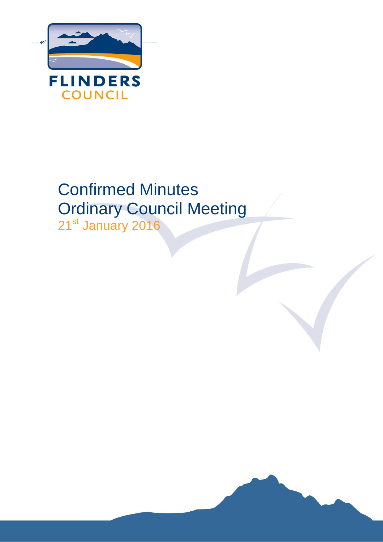

# Confirmed Minutes Ordinary Council Meeting 21<sup>st</sup> January 2016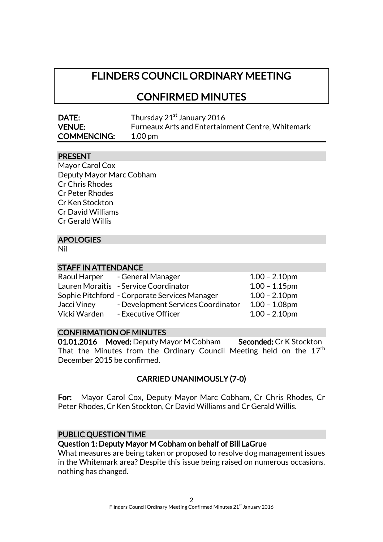# FLINDERS COUNCIL ORDINARY MEETING

CONFIRMED MINUTES

| <b>DATE:</b>       | Thursday 21 <sup>st</sup> January 2016            |
|--------------------|---------------------------------------------------|
| <b>VENUE:</b>      | Furneaux Arts and Entertainment Centre, Whitemark |
| <b>COMMENCING:</b> | $1.00 \,\mathrm{pm}$                              |

# PRESENT

Mayor Carol Cox Deputy Mayor Marc Cobham Cr Chris Rhodes Cr Peter Rhodes Cr Ken Stockton Cr David Williams Cr Gerald Willis

# APOLOGIES

Nil

#### STAFF IN ATTENDANCE

| Raoul Harper | - General Manager                             | $1.00 - 2.10$ pm |
|--------------|-----------------------------------------------|------------------|
|              | Lauren Moraitis - Service Coordinator         | $1.00 - 1.15$ pm |
|              | Sophie Pitchford - Corporate Services Manager | $1.00 - 2.10$ pm |
| Jacci Viney  | - Development Services Coordinator            | $1.00 - 1.08$ pm |
| Vicki Warden | - Executive Officer                           | $1.00 - 2.10$ pm |

#### CONFIRMATION OF MINUTES

01.01.2016 Moved: Deputy Mayor M Cobham Seconded: Cr K Stockton That the Minutes from the Ordinary Council Meeting held on the  $17^{\rm th}$ December 2015 be confirmed.

# CARRIED UNANIMOUSLY (7-0)

For: Mayor Carol Cox, Deputy Mayor Marc Cobham, Cr Chris Rhodes, Cr Peter Rhodes, Cr Ken Stockton, Cr David Williams and Cr Gerald Willis.

#### PUBLIC QUESTION TIME

#### Question 1: Deputy Mayor M Cobham on behalf of Bill LaGrue

What measures are being taken or proposed to resolve dog management issues in the Whitemark area? Despite this issue being raised on numerous occasions, nothing has changed.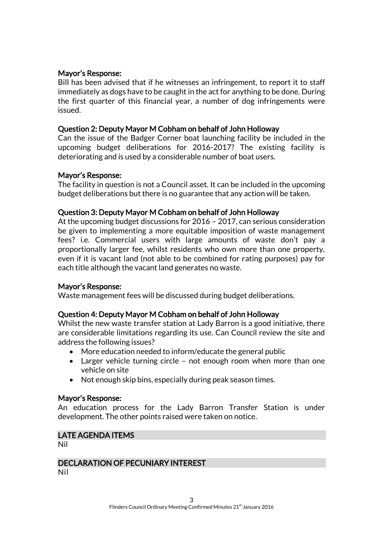# Mayor's Response:

Bill has been advised that if he witnesses an infringement, to report it to staff immediately as dogs have to be caught in the act for anything to be done. During the first quarter of this financial year, a number of dog infringements were issued.

# Question 2: Deputy Mayor M Cobham on behalf of John Holloway

Can the issue of the Badger Corner boat launching facility be included in the upcoming budget deliberations for 2016-2017? The existing facility is deteriorating and is used by a considerable number of boat users.

#### Mayor's Response:

The facility in question is not a Council asset. It can be included in the upcoming budget deliberations but there is no guarantee that any action will be taken.

# Question 3: Deputy Mayor M Cobham on behalf of John Holloway

At the upcoming budget discussions for 2016 – 2017, can serious consideration be given to implementing a more equitable imposition of waste management fees? i.e. Commercial users with large amounts of waste don't pay a proportionally larger fee, whilst residents who own more than one property, even if it is vacant land (not able to be combined for rating purposes) pay for each title although the vacant land generates no waste.

#### Mayor's Response:

Waste management fees will be discussed during budget deliberations.

#### Question 4: Deputy Mayor M Cobham on behalf of John Holloway

Whilst the new waste transfer station at Lady Barron is a good initiative, there are considerable limitations regarding its use. Can Council review the site and address the following issues?

- More education needed to inform/educate the general public
- Larger vehicle turning circle not enough room when more than one vehicle on site
- Not enough skip bins, especially during peak season times.

# Mayor's Response:

An education process for the Lady Barron Transfer Station is under development. The other points raised were taken on notice.

#### LATE AGENDA ITEMS

Nil

# DECLARATION OF PECUNIARY INTEREST

Nil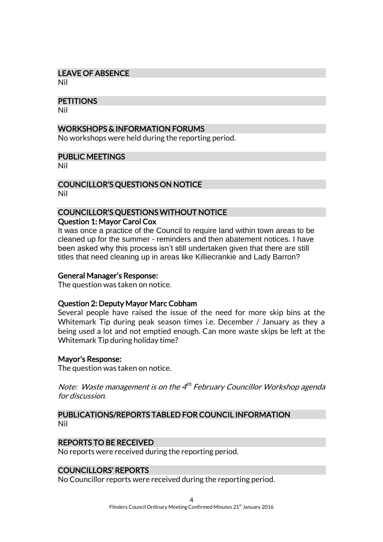# LEAVE OF ABSENCE

Nil

#### **PETITIONS**

Nil

# WORKSHOPS & INFORMATION FORUMS

No workshops were held during the reporting period.

#### PUBLIC MEETINGS

Nil

# COUNCILLOR'S QUESTIONS ON NOTICE

Nil

# COUNCILLOR'S QUESTIONS WITHOUT NOTICE

# Question 1: Mayor Carol Cox

It was once a practice of the Council to require land within town areas to be cleaned up for the summer - reminders and then abatement notices. I have been asked why this process isn't still undertaken given that there are still titles that need cleaning up in areas like Killiecrankie and Lady Barron?

#### General Manager's Response:

The question was taken on notice.

#### Question 2: Deputy Mayor Marc Cobham

Several people have raised the issue of the need for more skip bins at the Whitemark Tip during peak season times i.e. December / January as they a being used a lot and not emptied enough. Can more waste skips be left at the Whitemark Tip during holiday time?

#### Mayor's Response:

The question was taken on notice.

Note: Waste management is on the 4<sup>th</sup> February Councillor Workshop agenda for discussion.

#### PUBLICATIONS/REPORTS TABLED FOR COUNCIL INFORMATION Nil

# REPORTS TO BE RECEIVED

No reports were received during the reporting period.

# COUNCILLORS' REPORTS

No Councillor reports were received during the reporting period.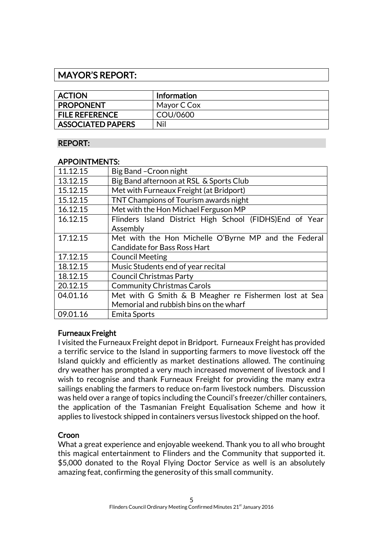# MAYOR'S REPORT:

| <b>ACTION</b>            | <b>Information</b> |
|--------------------------|--------------------|
| <b>PROPONENT</b>         | Mayor C Cox        |
| <b>FILE REFERENCE</b>    | COU/0600           |
| <b>ASSOCIATED PAPERS</b> | Nil                |

# REPORT:

# APPOINTMENTS:

| 11.12.15 | Big Band - Croon night                                   |  |
|----------|----------------------------------------------------------|--|
| 13.12.15 | Big Band afternoon at RSL & Sports Club                  |  |
| 15.12.15 | Met with Furneaux Freight (at Bridport)                  |  |
| 15.12.15 | TNT Champions of Tourism awards night                    |  |
| 16.12.15 | Met with the Hon Michael Ferguson MP                     |  |
| 16.12.15 | Flinders Island District High School (FIDHS) End of Year |  |
|          | Assembly                                                 |  |
| 17.12.15 | Met with the Hon Michelle O'Byrne MP and the Federal     |  |
|          | <b>Candidate for Bass Ross Hart</b>                      |  |
| 17.12.15 | <b>Council Meeting</b>                                   |  |
| 18.12.15 | Music Students end of year recital                       |  |
| 18.12.15 | <b>Council Christmas Party</b>                           |  |
| 20.12.15 | <b>Community Christmas Carols</b>                        |  |
| 04.01.16 | Met with G Smith & B Meagher re Fishermen lost at Sea    |  |
|          | Memorial and rubbish bins on the wharf                   |  |
| 09.01.16 | Emita Sports                                             |  |
|          |                                                          |  |

# Furneaux Freight

I visited the Furneaux Freight depot in Bridport. Furneaux Freight has provided a terrific service to the Island in supporting farmers to move livestock off the Island quickly and efficiently as market destinations allowed. The continuing dry weather has prompted a very much increased movement of livestock and I wish to recognise and thank Furneaux Freight for providing the many extra sailings enabling the farmers to reduce on-farm livestock numbers. Discussion was held over a range of topics including the Council's freezer/chiller containers, the application of the Tasmanian Freight Equalisation Scheme and how it applies to livestock shipped in containers versus livestock shipped on the hoof.

# Croon

What a great experience and enjoyable weekend. Thank you to all who brought this magical entertainment to Flinders and the Community that supported it. \$5,000 donated to the Royal Flying Doctor Service as well is an absolutely amazing feat, confirming the generosity of this small community.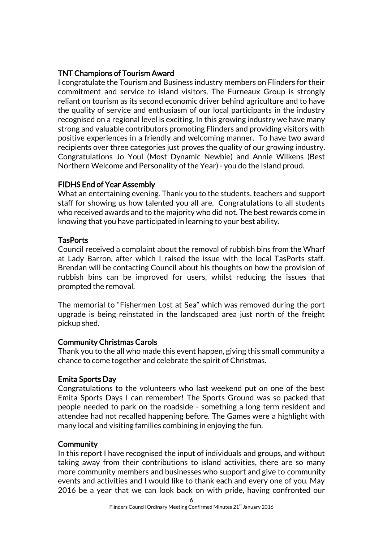# TNT Champions of Tourism Award

I congratulate the Tourism and Business industry members on Flinders for their commitment and service to island visitors. The Furneaux Group is strongly reliant on tourism as its second economic driver behind agriculture and to have the quality of service and enthusiasm of our local participants in the industry recognised on a regional level is exciting. In this growing industry we have many strong and valuable contributors promoting Flinders and providing visitors with positive experiences in a friendly and welcoming manner. To have two award recipients over three categories just proves the quality of our growing industry. Congratulations Jo Youl (Most Dynamic Newbie) and Annie Wilkens (Best Northern Welcome and Personality of the Year) - you do the Island proud.

# FIDHS End of Year Assembly

What an entertaining evening. Thank you to the students, teachers and support staff for showing us how talented you all are. Congratulations to all students who received awards and to the majority who did not. The best rewards come in knowing that you have participated in learning to your best ability.

# **TasPorts**

Council received a complaint about the removal of rubbish bins from the Wharf at Lady Barron, after which I raised the issue with the local TasPorts staff. Brendan will be contacting Council about his thoughts on how the provision of rubbish bins can be improved for users, whilst reducing the issues that prompted the removal.

The memorial to "Fishermen Lost at Sea" which was removed during the port upgrade is being reinstated in the landscaped area just north of the freight pickup shed.

# Community Christmas Carols

Thank you to the all who made this event happen, giving this small community a chance to come together and celebrate the spirit of Christmas.

# Emita Sports Day

Congratulations to the volunteers who last weekend put on one of the best Emita Sports Days I can remember! The Sports Ground was so packed that people needed to park on the roadside - something a long term resident and attendee had not recalled happening before. The Games were a highlight with many local and visiting families combining in enjoying the fun.

# **Community**

In this report I have recognised the input of individuals and groups, and without taking away from their contributions to island activities, there are so many more community members and businesses who support and give to community events and activities and I would like to thank each and every one of you. May 2016 be a year that we can look back on with pride, having confronted our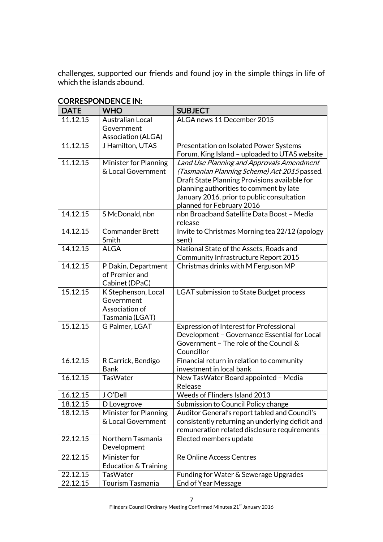challenges, supported our friends and found joy in the simple things in life of which the islands abound.

| <b>DATE</b> | <b>WHO</b>             | <b>SUBJECT</b>                                   |
|-------------|------------------------|--------------------------------------------------|
| 11.12.15    | Australian Local       | ALGA news 11 December 2015                       |
|             | Government             |                                                  |
|             | Association (ALGA)     |                                                  |
| 11.12.15    | J Hamilton, UTAS       | Presentation on Isolated Power Systems           |
|             |                        | Forum, King Island - uploaded to UTAS website    |
| 11.12.15    | Minister for Planning  | Land Use Planning and Approvals Amendment        |
|             | & Local Government     | (Tasmanian Planning Scheme) Act 2015 passed.     |
|             |                        | Draft State Planning Provisions available for    |
|             |                        | planning authorities to comment by late          |
|             |                        | January 2016, prior to public consultation       |
|             |                        | planned for February 2016                        |
| 14.12.15    | S McDonald, nbn        | nbn Broadband Satellite Data Boost - Media       |
|             |                        | release                                          |
| 14.12.15    | <b>Commander Brett</b> | Invite to Christmas Morning tea 22/12 (apology   |
|             | Smith                  | sent)                                            |
| 14.12.15    | <b>ALGA</b>            | National State of the Assets, Roads and          |
|             |                        | Community Infrastructure Report 2015             |
| 14.12.15    | P Dakin, Department    | Christmas drinks with M Ferguson MP              |
|             | of Premier and         |                                                  |
|             | Cabinet (DPaC)         |                                                  |
| 15.12.15    | K Stephenson, Local    | <b>LGAT submission to State Budget process</b>   |
|             | Government             |                                                  |
|             | Association of         |                                                  |
|             | Tasmania (LGAT)        |                                                  |
| 15.12.15    | G Palmer, LGAT         | <b>Expression of Interest for Professional</b>   |
|             |                        | Development - Governance Essential for Local     |
|             |                        | Government - The role of the Council &           |
|             |                        | Councillor                                       |
| 16.12.15    | R Carrick, Bendigo     | Financial return in relation to community        |
|             | <b>Bank</b>            | investment in local bank                         |
| 16.12.15    | <b>TasWater</b>        | New TasWater Board appointed - Media             |
|             |                        | Release                                          |
| 16.12.15    | J O'Dell               | Weeds of Flinders Island 2013                    |
| 18.12.15    | D Lovegrove            | Submission to Council Policy change              |
| 18.12.15    | Minister for Planning  | Auditor General's report tabled and Council's    |
|             | & Local Government     | consistently returning an underlying deficit and |
|             |                        | remuneration related disclosure requirements     |
| 22.12.15    | Northern Tasmania      | Elected members update                           |
|             | Development            |                                                  |
| 22.12.15    | Minister for           | <b>Re Online Access Centres</b>                  |
|             | Education & Training   |                                                  |
| 22.12.15    | <b>TasWater</b>        | Funding for Water & Sewerage Upgrades            |
| 22.12.15    | Tourism Tasmania       | <b>End of Year Message</b>                       |

#### CORRESPONDENCE IN: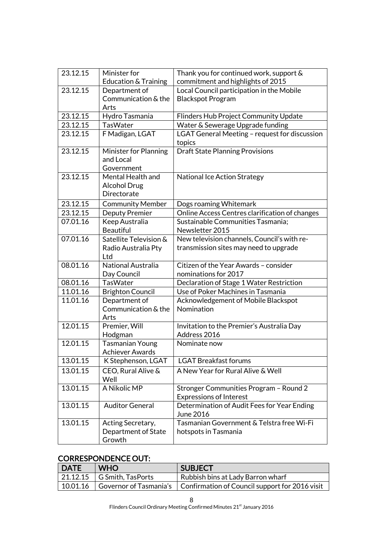| 23.12.15             | Minister for                       | Thank you for continued work, support &              |
|----------------------|------------------------------------|------------------------------------------------------|
|                      | Education & Training               | commitment and highlights of 2015                    |
| 23.12.15             | Department of                      | Local Council participation in the Mobile            |
|                      | Communication & the                | <b>Blackspot Program</b>                             |
|                      | Arts                               |                                                      |
| 23.12.15             | Hydro Tasmania                     | Flinders Hub Project Community Update                |
| 23.12.15             | <b>TasWater</b>                    | Water & Sewerage Upgrade funding                     |
| 23.12.15             | F Madigan, LGAT                    | LGAT General Meeting - request for discussion        |
|                      |                                    | topics                                               |
| 23.12.15             | <b>Minister for Planning</b>       | <b>Draft State Planning Provisions</b>               |
|                      | and Local                          |                                                      |
|                      | Government                         |                                                      |
| 23.12.15             | Mental Health and                  | <b>National Ice Action Strategy</b>                  |
|                      | <b>Alcohol Drug</b><br>Directorate |                                                      |
|                      |                                    |                                                      |
| 23.12.15<br>23.12.15 | <b>Community Member</b>            | Dogs roaming Whitemark                               |
| 07.01.16             | <b>Deputy Premier</b>              | Online Access Centres clarification of changes       |
|                      | Keep Australia<br><b>Beautiful</b> | Sustainable Communities Tasmania;<br>Newsletter 2015 |
| 07.01.16             | Satellite Television &             | New television channels, Council's with re-          |
|                      | Radio Australia Pty                | transmission sites may need to upgrade               |
|                      | Ltd                                |                                                      |
| 08.01.16             | National Australia                 | Citizen of the Year Awards - consider                |
|                      | Day Council                        | nominations for 2017                                 |
| 08.01.16             | <b>TasWater</b>                    | Declaration of Stage 1 Water Restriction             |
| 11.01.16             | <b>Brighton Council</b>            | Use of Poker Machines in Tasmania                    |
| 11.01.16             | Department of                      | Acknowledgement of Mobile Blackspot                  |
|                      | Communication & the                | Nomination                                           |
|                      | Arts                               |                                                      |
| 12.01.15             | Premier, Will                      | Invitation to the Premier's Australia Day            |
|                      | Hodgman                            | Address 2016                                         |
| 12.01.15             | <b>Tasmanian Young</b>             | Nominate now                                         |
|                      | <b>Achiever Awards</b>             |                                                      |
| 13.01.15             | K Stephenson, LGAT                 | <b>LGAT Breakfast forums</b>                         |
| 13.01.15             | CEO, Rural Alive &                 | A New Year for Rural Alive & Well                    |
|                      | Well                               |                                                      |
| 13.01.15             | A Nikolic MP                       | Stronger Communities Program - Round 2               |
|                      |                                    | <b>Expressions of Interest</b>                       |
| 13.01.15             | <b>Auditor General</b>             | Determination of Audit Fees for Year Ending          |
|                      |                                    | June 2016                                            |
| 13.01.15             | Acting Secretary,                  | Tasmanian Government & Telstra free Wi-Fi            |
|                      | Department of State                | hotspots in Tasmania                                 |
|                      | Growth                             |                                                      |

# CORRESPONDENCE OUT:

| DATE     | <b>WHO</b>                          | <b>SUBJECT</b>                                                          |
|----------|-------------------------------------|-------------------------------------------------------------------------|
|          | $\sqrt{21.12.15}$ G Smith, TasPorts | Rubbish bins at Lady Barron wharf                                       |
| 10.01.16 |                                     | Governor of Tasmania's   Confirmation of Council support for 2016 visit |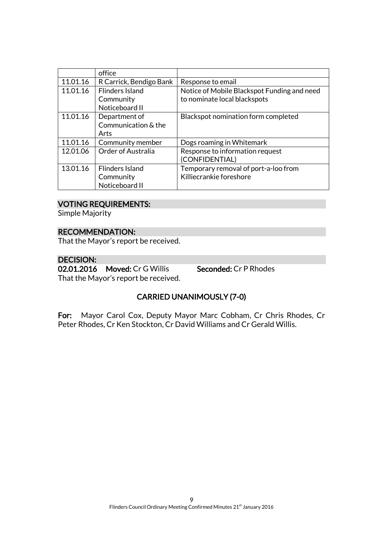|          | office                    |                                             |
|----------|---------------------------|---------------------------------------------|
| 11.01.16 | R Carrick, Bendigo Bank   | Response to email                           |
| 11.01.16 | <b>Flinders Island</b>    | Notice of Mobile Blackspot Funding and need |
|          | Community                 | to nominate local blackspots                |
|          | Noticeboard II            |                                             |
| 11.01.16 | Department of             | Blackspot nomination form completed         |
|          | Communication & the       |                                             |
|          | Arts                      |                                             |
| 11.01.16 | Community member          | Dogs roaming in Whitemark                   |
| 12.01.06 | <b>Order of Australia</b> | Response to information request             |
|          |                           | (CONFIDENTIAL)                              |
| 13.01.16 | <b>Flinders Island</b>    | Temporary removal of port-a-loo from        |
|          | Community                 | Killiecrankie foreshore                     |
|          | Noticeboard II            |                                             |

# VOTING REQUIREMENTS:

Simple Majority

#### RECOMMENDATION:

That the Mayor's report be received.

# DECISION:

02.01.2016 Moved: Cr G Willis Seconded: Cr P Rhodes That the Mayor's report be received.

# CARRIED UNANIMOUSLY (7-0)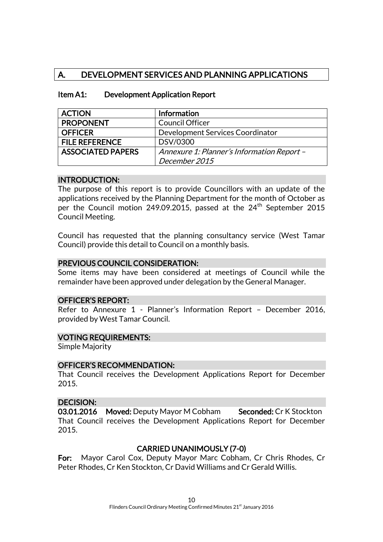# A. DEVELOPMENT SERVICES AND PLANNING APPLICATIONS

| <b>ACTION</b>                                                          | Information                      |
|------------------------------------------------------------------------|----------------------------------|
| <b>PROPONENT</b>                                                       | <b>Council Officer</b>           |
| <b>OFFICER</b>                                                         | Development Services Coordinator |
| <b>FILE REFERENCE</b>                                                  | DSV/0300                         |
| <b>ASSOCIATED PAPERS</b><br>Annexure 1: Planner's Information Report - |                                  |
|                                                                        | December 2015                    |

#### Item A1: Development Application Report

#### INTRODUCTION:

The purpose of this report is to provide Councillors with an update of the applications received by the Planning Department for the month of October as per the Council motion 249.09.2015, passed at the  $24<sup>th</sup>$  September 2015 Council Meeting.

Council has requested that the planning consultancy service (West Tamar Council) provide this detail to Council on a monthly basis.

#### PREVIOUS COUNCIL CONSIDERATION:

Some items may have been considered at meetings of Council while the remainder have been approved under delegation by the General Manager.

#### OFFICER'S REPORT:

Refer to Annexure 1 - Planner's Information Report – December 2016, provided by West Tamar Council.

#### VOTING REQUIREMENTS:

Simple Majority

#### OFFICER'S RECOMMENDATION:

That Council receives the Development Applications Report for December 2015.

#### DECISION:

03.01.2016 Moved: Deputy Mayor M Cobham Seconded: Cr K Stockton That Council receives the Development Applications Report for December 2015.

# CARRIED UNANIMOUSLY (7-0)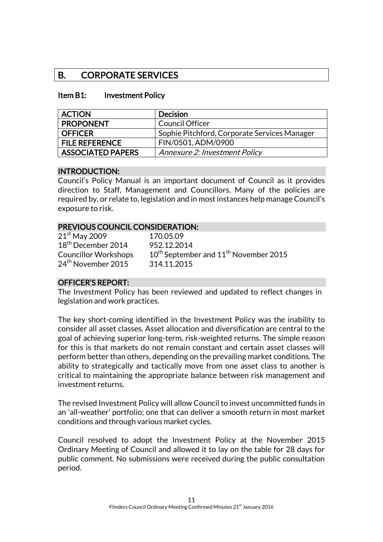# B. CORPORATE SERVICES

#### Item B1: Investment Policy

| <b>ACTION</b>            | <b>Decision</b>                              |
|--------------------------|----------------------------------------------|
| <b>PROPONENT</b>         | <b>Council Officer</b>                       |
| <b>OFFICER</b>           | Sophie Pitchford, Corporate Services Manager |
| <b>FILE REFERENCE</b>    | FIN/0501, ADM/0900                           |
| <b>ASSOCIATED PAPERS</b> | Annexure 2: Investment Policy                |

#### INTRODUCTION:

Council's Policy Manual is an important document of Council as it provides direction to Staff, Management and Councillors. Many of the policies are required by, or relate to, legislation and in most instances help manage Council's exposure to risk.

#### PREVIOUS COUNCIL CONSIDERATION:

| $21^{\rm st}$ May 2009         | 170.05.09                                                     |
|--------------------------------|---------------------------------------------------------------|
| 18 <sup>th</sup> December 2014 | 952.12.2014                                                   |
| <b>Councillor Workshops</b>    | 10 <sup>th</sup> September and 11 <sup>th</sup> November 2015 |
| 24 <sup>th</sup> November 2015 | 314.11.2015                                                   |
|                                |                                                               |

#### OFFICER'S REPORT:

The Investment Policy has been reviewed and updated to reflect changes in legislation and work practices.

The key short-coming identified in the Investment Policy was the inability to consider all asset classes. Asset allocation and diversification are central to the goal of achieving superior long-term, risk-weighted returns. The simple reason for this is that markets do not remain constant and certain asset classes will perform better than others, depending on the prevailing market conditions. The ability to strategically and tactically move from one asset class to another is critical to maintaining the appropriate balance between risk management and investment returns.

The revised Investment Policy will allow Council to invest uncommitted funds in an 'all-weather' portfolio; one that can deliver a smooth return in most market conditions and through various market cycles.

Council resolved to adopt the Investment Policy at the November 2015 Ordinary Meeting of Council and allowed it to lay on the table for 28 days for public comment. No submissions were received during the public consultation period.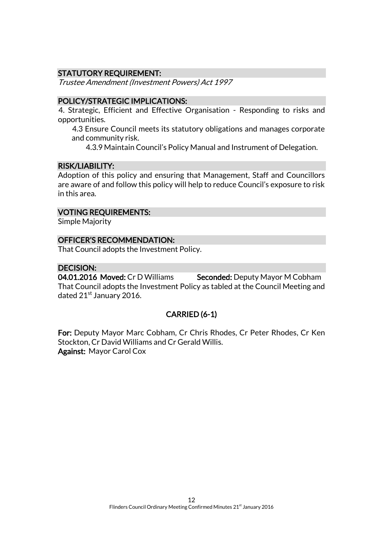# STATUTORY REQUIREMENT:

Trustee Amendment (Investment Powers) Act 1997

# POLICY/STRATEGIC IMPLICATIONS:

4. Strategic, Efficient and Effective Organisation - Responding to risks and opportunities.

4.3 Ensure Council meets its statutory obligations and manages corporate and community risk.

4.3.9 Maintain Council's Policy Manual and Instrument of Delegation.

# RISK/LIABILITY:

Adoption of this policy and ensuring that Management, Staff and Councillors are aware of and follow this policy will help to reduce Council's exposure to risk in this area.

# VOTING REQUIREMENTS:

Simple Majority

# OFFICER'S RECOMMENDATION:

That Council adopts the Investment Policy.

# DECISION:

04.01.2016 Moved: Cr D Williams Seconded: Deputy Mayor M Cobham That Council adopts the Investment Policy as tabled at the Council Meeting and dated  $21^{st}$  January 2016.

# CARRIED (6-1)

For: Deputy Mayor Marc Cobham, Cr Chris Rhodes, Cr Peter Rhodes, Cr Ken Stockton, Cr David Williams and Cr Gerald Willis. Against: Mayor Carol Cox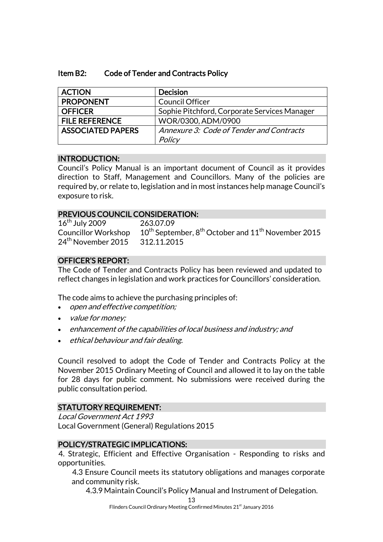| Item B2: | <b>Code of Tender and Contracts Policy</b> |
|----------|--------------------------------------------|
|----------|--------------------------------------------|

| <b>ACTION</b>            | <b>Decision</b>                              |
|--------------------------|----------------------------------------------|
| <b>PROPONENT</b>         | <b>Council Officer</b>                       |
| <b>OFFICER</b>           | Sophie Pitchford, Corporate Services Manager |
| <b>FILE REFERENCE</b>    | WOR/0300, ADM/0900                           |
| <b>ASSOCIATED PAPERS</b> | Annexure 3: Code of Tender and Contracts     |
|                          | Policy                                       |

#### INTRODUCTION:

Council's Policy Manual is an important document of Council as it provides direction to Staff, Management and Councillors. Many of the policies are required by, or relate to, legislation and in most instances help manage Council's exposure to risk.

# PREVIOUS COUNCIL CONSIDERATION:

16<sup>th</sup> July 2009 263.07.09 24<sup>th</sup> November 2015 312.11.2015

Councillor Workshop  $10^{th}$  September,  $8^{th}$  October and  $11^{th}$  November 2015

# OFFICER'S REPORT:

The Code of Tender and Contracts Policy has been reviewed and updated to reflect changes in legislation and work practices for Councillors' consideration.

The code aims to achieve the purchasing principles of:

- open and effective competition;
- value for money;
- enhancement of the capabilities of local business and industry; and
- ethical behaviour and fair dealing.

Council resolved to adopt the Code of Tender and Contracts Policy at the November 2015 Ordinary Meeting of Council and allowed it to lay on the table for 28 days for public comment. No submissions were received during the public consultation period.

# STATUTORY REQUIREMENT:

Local Government Act 1993 Local Government (General) Regulations 2015

# POLICY/STRATEGIC IMPLICATIONS:

4. Strategic, Efficient and Effective Organisation - Responding to risks and opportunities.

4.3 Ensure Council meets its statutory obligations and manages corporate and community risk.

4.3.9 Maintain Council's Policy Manual and Instrument of Delegation.

<sup>13</sup>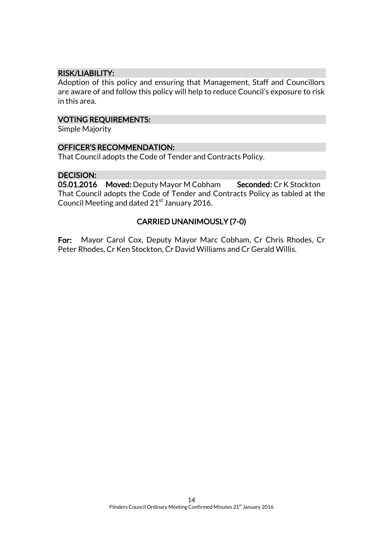# RISK/LIABILITY:

Adoption of this policy and ensuring that Management, Staff and Councillors are aware of and follow this policy will help to reduce Council's exposure to risk in this area.

#### VOTING REQUIREMENTS:

Simple Majority

# OFFICER'S RECOMMENDATION:

That Council adopts the Code of Tender and Contracts Policy.

# DECISION:<br>05.01.2016

Moved: Deputy Mayor M Cobham Seconded: Cr K Stockton That Council adopts the Code of Tender and Contracts Policy as tabled at the Council Meeting and dated 21<sup>st</sup> January 2016.

# CARRIED UNANIMOUSLY (7-0)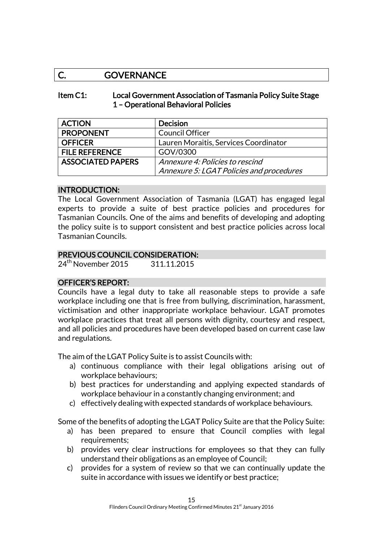# C. GOVERNANCE

#### Item C1: Local Government Association of Tasmania Policy Suite Stage 1 – Operational Behavioral Policies

| <b>ACTION</b>            | <b>Decision</b>                          |
|--------------------------|------------------------------------------|
| <b>PROPONENT</b>         | <b>Council Officer</b>                   |
| <b>OFFICER</b>           | Lauren Moraitis, Services Coordinator    |
| <b>FILE REFERENCE</b>    | GOV/0300                                 |
| <b>ASSOCIATED PAPERS</b> | Annexure 4: Policies to rescind          |
|                          | Annexure 5: LGAT Policies and procedures |

# INTRODUCTION:

The Local Government Association of Tasmania (LGAT) has engaged legal experts to provide a suite of best practice policies and procedures for Tasmanian Councils. One of the aims and benefits of developing and adopting the policy suite is to support consistent and best practice policies across local Tasmanian Councils.

# PREVIOUS COUNCIL CONSIDERATION:

24<sup>th</sup> November 2015 311.11.2015

# OFFICER'S REPORT:

Councils have a legal duty to take all reasonable steps to provide a safe workplace including one that is free from bullying, discrimination, harassment, victimisation and other inappropriate workplace behaviour. LGAT promotes workplace practices that treat all persons with dignity, courtesy and respect, and all policies and procedures have been developed based on current case law and regulations.

The aim of the LGAT Policy Suite is to assist Councils with:

- a) continuous compliance with their legal obligations arising out of workplace behaviours;
- b) best practices for understanding and applying expected standards of workplace behaviour in a constantly changing environment; and
- c) effectively dealing with expected standards of workplace behaviours.

Some of the benefits of adopting the LGAT Policy Suite are that the Policy Suite:

- a) has been prepared to ensure that Council complies with legal requirements;
- b) provides very clear instructions for employees so that they can fully understand their obligations as an employee of Council;
- c) provides for a system of review so that we can continually update the suite in accordance with issues we identify or best practice;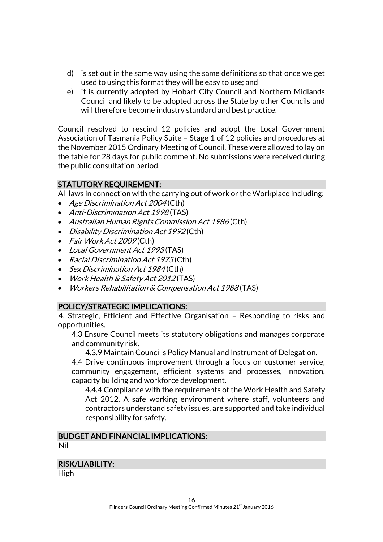- d) is set out in the same way using the same definitions so that once we get used to using this format they will be easy to use; and
- e) it is currently adopted by Hobart City Council and Northern Midlands Council and likely to be adopted across the State by other Councils and will therefore become industry standard and best practice.

Council resolved to rescind 12 policies and adopt the Local Government Association of Tasmania Policy Suite – Stage 1 of 12 policies and procedures at the November 2015 Ordinary Meeting of Council. These were allowed to lay on the table for 28 days for public comment. No submissions were received during the public consultation period.

# STATUTORY REQUIREMENT:

All laws in connection with the carrying out of work or the Workplace including:

- Age Discrimination Act 2004 (Cth)
- Anti-Discrimination Act 1998 (TAS)
- Australian Human Rights Commission Act 1986 (Cth)
- Disability Discrimination Act 1992 (Cth)
- Fair Work Act 2009(Cth)
- Local Government Act 1993(TAS)
- Racial Discrimination Act 1975 (Cth)
- Sex Discrimination Act 1984 (Cth)
- Work Health & Safety Act 2012 (TAS)
- Workers Rehabilitation & Compensation Act 1988 (TAS)

# POLICY/STRATEGIC IMPLICATIONS:

4. Strategic, Efficient and Effective Organisation – Responding to risks and opportunities.

4.3 Ensure Council meets its statutory obligations and manages corporate and community risk.

4.3.9 Maintain Council's Policy Manual and Instrument of Delegation.

4.4 Drive continuous improvement through a focus on customer service, community engagement, efficient systems and processes, innovation, capacity building and workforce development.

4.4.4 Compliance with the requirements of the Work Health and Safety Act 2012. A safe working environment where staff, volunteers and contractors understand safety issues, are supported and take individual responsibility for safety.

# BUDGET AND FINANCIAL IMPLICATIONS:

Nil

#### RISK/LIABILITY:

High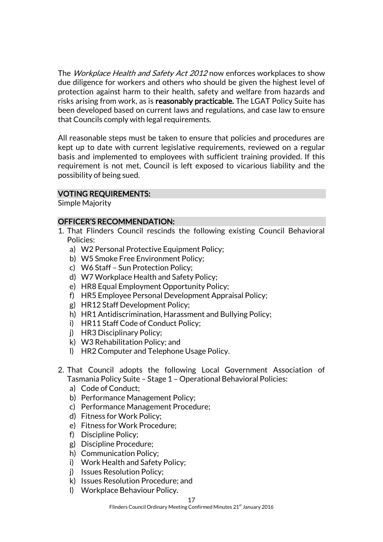The Workplace Health and Safety Act 2012 now enforces workplaces to show due diligence for workers and others who should be given the highest level of protection against harm to their health, safety and welfare from hazards and risks arising from work, as is reasonably practicable. The LGAT Policy Suite has been developed based on current laws and regulations, and case law to ensure that Councils comply with legal requirements.

All reasonable steps must be taken to ensure that policies and procedures are kept up to date with current legislative requirements, reviewed on a regular basis and implemented to employees with sufficient training provided. If this requirement is not met, Council is left exposed to vicarious liability and the possibility of being sued.

# VOTING REQUIREMENTS:

Simple Majority

#### OFFICER'S RECOMMENDATION:

- 1. That Flinders Council rescinds the following existing Council Behavioral Policies:
	- a) W2 Personal Protective Equipment Policy;
	- b) W5 Smoke Free Environment Policy;
	- c) W6 Staff Sun Protection Policy;
	- d) W7 Workplace Health and Safety Policy;
	- e) HR8 Equal Employment Opportunity Policy;
	- f) HR5 Employee Personal Development Appraisal Policy;
	- g) HR12 Staff Development Policy;
	- h) HR1 Antidiscrimination, Harassment and Bullying Policy;
	- i) HR11 Staff Code of Conduct Policy;
	- j) HR3 Disciplinary Policy;
	- k) W3 Rehabilitation Policy; and
	- l) HR2 Computer and Telephone Usage Policy.
- 2. That Council adopts the following Local Government Association of Tasmania Policy Suite – Stage 1 – Operational Behavioral Policies:
	- a) Code of Conduct;
	- b) Performance Management Policy;
	- c) Performance Management Procedure;
	- d) Fitness for Work Policy;
	- e) Fitness for Work Procedure;
	- f) Discipline Policy;
	- g) Discipline Procedure;
	- h) Communication Policy;
	- i) Work Health and Safety Policy;
	- j) Issues Resolution Policy;
	- k) Issues Resolution Procedure; and
	- l) Workplace Behaviour Policy.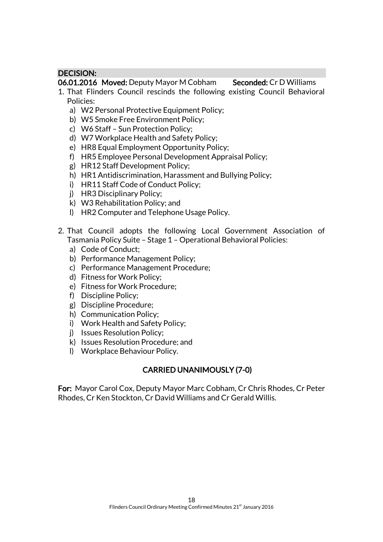# DECISION:

06.01.2016 Moved: Deputy Mayor M Cobham Seconded: Cr D Williams

- 1. That Flinders Council rescinds the following existing Council Behavioral Policies:
	- a) W2 Personal Protective Equipment Policy;
	- b) W5 Smoke Free Environment Policy;
	- c) W6 Staff Sun Protection Policy;
	- d) W7 Workplace Health and Safety Policy;
	- e) HR8 Equal Employment Opportunity Policy;
	- f) HR5 Employee Personal Development Appraisal Policy;
	- g) HR12 Staff Development Policy;
	- h) HR1 Antidiscrimination, Harassment and Bullying Policy;
	- i) HR11 Staff Code of Conduct Policy;
	- j) HR3 Disciplinary Policy;
	- k) W3 Rehabilitation Policy; and
	- l) HR2 Computer and Telephone Usage Policy.
- 2. That Council adopts the following Local Government Association of Tasmania Policy Suite – Stage 1 – Operational Behavioral Policies:
	- a) Code of Conduct;
	- b) Performance Management Policy;
	- c) Performance Management Procedure;
	- d) Fitness for Work Policy;
	- e) Fitness for Work Procedure;
	- f) Discipline Policy;
	- g) Discipline Procedure;
	- h) Communication Policy;
	- i) Work Health and Safety Policy;
	- j) Issues Resolution Policy;
	- k) Issues Resolution Procedure; and
	- l) Workplace Behaviour Policy.

# CARRIED UNANIMOUSLY (7-0)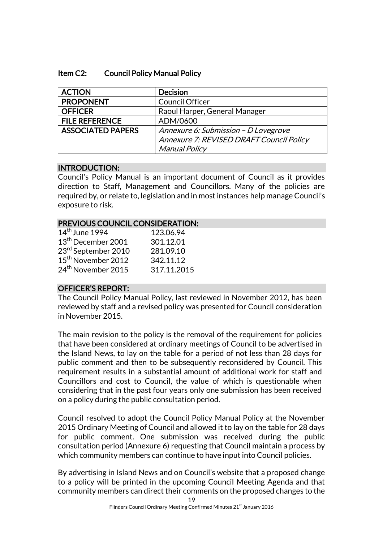#### Item C2: Council Policy Manual Policy

| <b>ACTION</b>            | <b>Decision</b>                          |
|--------------------------|------------------------------------------|
| <b>PROPONENT</b>         | Council Officer                          |
| <b>OFFICER</b>           | Raoul Harper, General Manager            |
| <b>FILE REFERENCE</b>    | ADM/0600                                 |
| <b>ASSOCIATED PAPERS</b> | Annexure 6: Submission - D Lovegrove     |
|                          | Annexure 7: REVISED DRAFT Council Policy |
|                          | <b>Manual Policy</b>                     |

# INTRODUCTION:

Council's Policy Manual is an important document of Council as it provides direction to Staff, Management and Councillors. Many of the policies are required by, or relate to, legislation and in most instances help manage Council's exposure to risk.

#### PREVIOUS COUNCIL CONSIDERATION:

| $14th$ June 1994               | 123.06.94   |
|--------------------------------|-------------|
| 13 <sup>th</sup> December 2001 | 301.12.01   |
| 23rd September 2010            | 281.09.10   |
| 15 <sup>th</sup> November 2012 | 342.11.12   |
| 24 <sup>th</sup> November 2015 | 317.11.2015 |

# OFFICER'S REPORT:

The Council Policy Manual Policy, last reviewed in November 2012, has been reviewed by staff and a revised policy was presented for Council consideration in November 2015.

The main revision to the policy is the removal of the requirement for policies that have been considered at ordinary meetings of Council to be advertised in the Island News, to lay on the table for a period of not less than 28 days for public comment and then to be subsequently reconsidered by Council. This requirement results in a substantial amount of additional work for staff and Councillors and cost to Council, the value of which is questionable when considering that in the past four years only one submission has been received on a policy during the public consultation period.

Council resolved to adopt the Council Policy Manual Policy at the November 2015 Ordinary Meeting of Council and allowed it to lay on the table for 28 days for public comment. One submission was received during the public consultation period (Annexure 6) requesting that Council maintain a process by which community members can continue to have input into Council policies.

By advertising in Island News and on Council's website that a proposed change to a policy will be printed in the upcoming Council Meeting Agenda and that community members can direct their comments on the proposed changes to the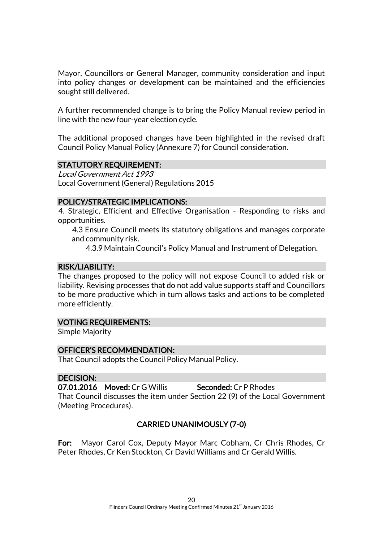Mayor, Councillors or General Manager, community consideration and input into policy changes or development can be maintained and the efficiencies sought still delivered.

A further recommended change is to bring the Policy Manual review period in line with the new four-year election cycle.

The additional proposed changes have been highlighted in the revised draft Council Policy Manual Policy (Annexure 7) for Council consideration.

# STATUTORY REQUIREMENT:

Local Government Act 1993 Local Government (General) Regulations 2015

#### POLICY/STRATEGIC IMPLICATIONS:

4. Strategic, Efficient and Effective Organisation - Responding to risks and opportunities.

4.3 Ensure Council meets its statutory obligations and manages corporate and community risk.

4.3.9 Maintain Council's Policy Manual and Instrument of Delegation.

# RISK/LIABILITY:

The changes proposed to the policy will not expose Council to added risk or liability. Revising processes that do not add value supports staff and Councillors to be more productive which in turn allows tasks and actions to be completed more efficiently.

# VOTING REQUIREMENTS:

Simple Majority

#### OFFICER'S RECOMMENDATION:

That Council adopts the Council Policy Manual Policy.

#### DECISION:

07.01.2016 Moved: Cr G Willis Seconded: Cr P Rhodes That Council discusses the item under Section 22 (9) of the Local Government

(Meeting Procedures).

# CARRIED UNANIMOUSLY (7-0)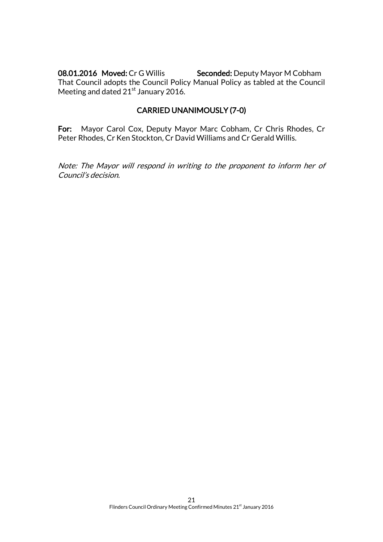08.01.2016 Moved: Cr G Willis Seconded: Deputy Mayor M Cobham That Council adopts the Council Policy Manual Policy as tabled at the Council Meeting and dated  $21<sup>st</sup>$  January 2016.

# CARRIED UNANIMOUSLY (7-0)

For: Mayor Carol Cox, Deputy Mayor Marc Cobham, Cr Chris Rhodes, Cr Peter Rhodes, Cr Ken Stockton, Cr David Williams and Cr Gerald Willis.

Note: The Mayor will respond in writing to the proponent to inform her of Council's decision.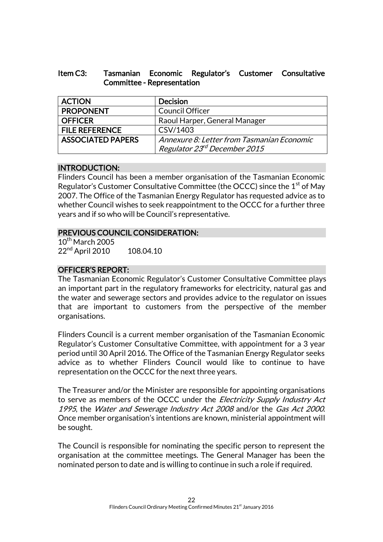| Item C3: |                                   |  | Tasmanian Economic Regulator's Customer Consultative |
|----------|-----------------------------------|--|------------------------------------------------------|
|          | <b>Committee - Representation</b> |  |                                                      |

| <b>ACTION</b>            | <b>Decision</b>                            |
|--------------------------|--------------------------------------------|
| <b>PROPONENT</b>         | <b>Council Officer</b>                     |
| <b>OFFICER</b>           | Raoul Harper, General Manager              |
| <b>FILE REFERENCE</b>    | CSV/1403                                   |
| <b>ASSOCIATED PAPERS</b> | Annexure 8: Letter from Tasmanian Economic |
|                          | Regulator 23 <sup>rd</sup> December 2015   |

# INTRODUCTION:

Flinders Council has been a member organisation of the Tasmanian Economic Regulator's Customer Consultative Committee (the OCCC) since the  $1<sup>st</sup>$  of May 2007. The Office of the Tasmanian Energy Regulator has requested advice as to whether Council wishes to seek reappointment to the OCCC for a further three years and if so who will be Council's representative.

# PREVIOUS COUNCIL CONSIDERATION:

 $10^{th}$  March 2005 22<sup>nd</sup> April 2010 108.04.10

# OFFICER'S REPORT:

The Tasmanian Economic Regulator's Customer Consultative Committee plays an important part in the regulatory frameworks for electricity, natural gas and the water and sewerage sectors and provides advice to the regulator on issues that are important to customers from the perspective of the member organisations.

Flinders Council is a current member organisation of the Tasmanian Economic Regulator's Customer Consultative Committee, with appointment for a 3 year period until 30 April 2016. The Office of the Tasmanian Energy Regulator seeks advice as to whether Flinders Council would like to continue to have representation on the OCCC for the next three years.

The Treasurer and/or the Minister are responsible for appointing organisations to serve as members of the OCCC under the *Electricity Supply Industry Act* 1995, the Water and Sewerage Industry Act 2008 and/or the Gas Act 2000. Once member organisation's intentions are known, ministerial appointment will be sought.

The Council is responsible for nominating the specific person to represent the organisation at the committee meetings. The General Manager has been the nominated person to date and is willing to continue in such a role if required.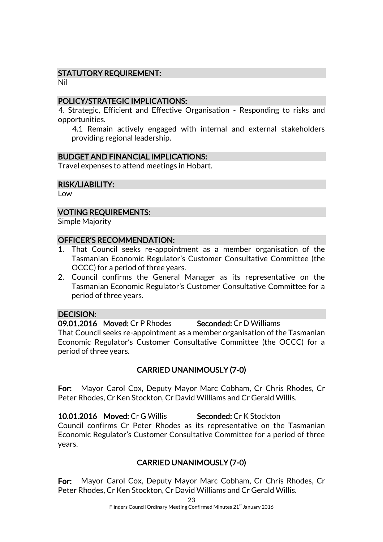# STATUTORY REQUIREMENT:

Nil

#### POLICY/STRATEGIC IMPLICATIONS:

4. Strategic, Efficient and Effective Organisation - Responding to risks and opportunities.

4.1 Remain actively engaged with internal and external stakeholders providing regional leadership.

#### BUDGET AND FINANCIAL IMPLICATIONS:

Travel expenses to attend meetings in Hobart.

#### RISK/LIABILITY:

Low

#### VOTING REQUIREMENTS:

Simple Majority

#### OFFICER'S RECOMMENDATION:

- 1. That Council seeks re-appointment as a member organisation of the Tasmanian Economic Regulator's Customer Consultative Committee (the OCCC) for a period of three years.
- 2. Council confirms the General Manager as its representative on the Tasmanian Economic Regulator's Customer Consultative Committee for a period of three years.

#### DECISION:

09.01.2016 Moved: Cr P Rhodes Seconded: Cr D Williams

That Council seeks re-appointment as a member organisation of the Tasmanian Economic Regulator's Customer Consultative Committee (the OCCC) for a period of three years.

# CARRIED UNANIMOUSLY (7-0)

For: Mayor Carol Cox, Deputy Mayor Marc Cobham, Cr Chris Rhodes, Cr Peter Rhodes, Cr Ken Stockton, Cr David Williams and Cr Gerald Willis.

10.01.2016 Moved: Cr G Willis Seconded: Cr K Stockton Council confirms Cr Peter Rhodes as its representative on the Tasmanian Economic Regulator's Customer Consultative Committee for a period of three years.

# CARRIED UNANIMOUSLY (7-0)

For: Mayor Carol Cox, Deputy Mayor Marc Cobham, Cr Chris Rhodes, Cr Peter Rhodes, Cr Ken Stockton, Cr David Williams and Cr Gerald Willis.

23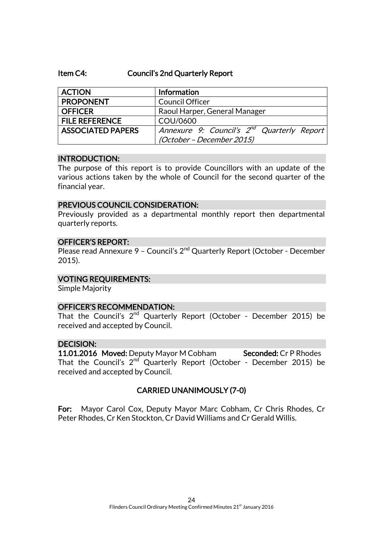#### Item C4: Council's 2nd Quarterly Report

| <b>ACTION</b>            | Information                                                                         |
|--------------------------|-------------------------------------------------------------------------------------|
| <b>PROPONENT</b>         | <b>Council Officer</b>                                                              |
| <b>OFFICER</b>           | Raoul Harper, General Manager                                                       |
| <b>FILE REFERENCE</b>    | COU/0600                                                                            |
| <b>ASSOCIATED PAPERS</b> | Annexure 9: Council's 2 <sup>nd</sup> Quarterly Report<br>(October - December 2015) |

#### INTRODUCTION:

The purpose of this report is to provide Councillors with an update of the various actions taken by the whole of Council for the second quarter of the financial year.

#### PREVIOUS COUNCIL CONSIDERATION:

Previously provided as a departmental monthly report then departmental quarterly reports.

#### OFFICER'S REPORT:

Please read Annexure 9 - Council's 2<sup>nd</sup> Quarterly Report (October - December 2015).

#### VOTING REQUIREMENTS:

Simple Majority

#### OFFICER'S RECOMMENDATION:

That the Council's 2<sup>nd</sup> Quarterly Report (October - December 2015) be received and accepted by Council.

#### DECISION:

11.01.2016 Moved: Deputy Mayor M Cobham Seconded: Cr P Rhodes That the Council's  $2^{nd}$  Quarterly Report (October - December 2015) be received and accepted by Council.

#### CARRIED UNANIMOUSLY (7-0)